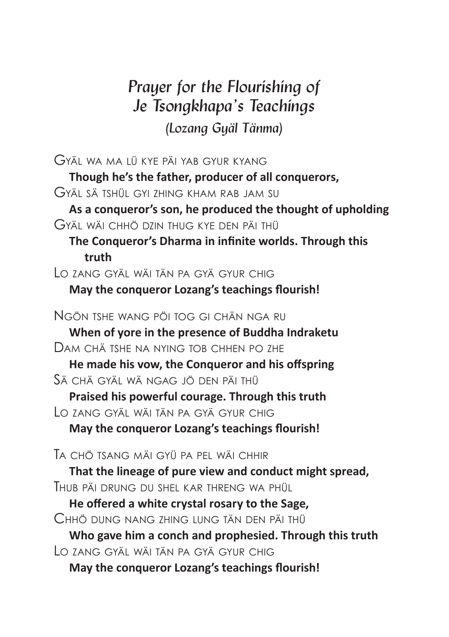## *Prayer for the Flourishing of Je Tsongkhapa's Teachings (Lozang Gyäl Tänma)*

| GYÄL WA MA LÜ KYE PÄI YAB GYUR KYANG                       |
|------------------------------------------------------------|
| Though he's the father, producer of all conquerors,        |
| Gyäl sä tshül gyi zhing kham rab jam su                    |
| As a conqueror's son, he produced the thought of upholding |
| Gyäl wäi chhö dzin thug kye den päi thü                    |
| The Conqueror's Dharma in infinite worlds. Through this    |
| truth                                                      |
| LO ZANG GYÄL WÄI TÄN PA GYÄ GYUR CHIG                      |
| May the conqueror Lozang's teachings flourish!             |
| Ngön tshe wang pöi tog gi chän nga ru                      |
| When of yore in the presence of Buddha Indraketu           |
| Dam chä tshe na nying tob chhen po zhe                     |
| He made his vow, the Conqueror and his offspring           |
| Sä chä gyäl wä ngag jö den päi thü                         |
| Praised his powerful courage. Through this truth           |
| Lo zang gyäl wäi tän pa gyä gyur chig                      |
| May the conqueror Lozang's teachings flourish!             |
| Ta chö tsang mäi gyü pa pel wäi chhir                      |
| That the lineage of pure view and conduct might spread,    |
| HUB PÄI DRUNG DU SHEL KAR THRENG WA PHÜL                   |
| He offered a white crystal rosary to the Sage,             |
| Chhö dung nang zhing lung tän den päi thü                  |
| Who gave him a conch and prophesied. Through this truth    |
| LO ZANG GYÄL WÄI TÄN PA GYÄ GYUR CHIG                      |
| May the conqueror Lozang's teachings flourish!             |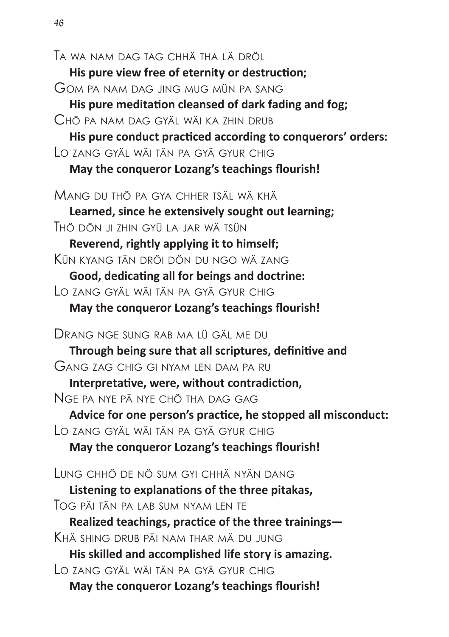ta wa nam Dag tag chhä tha Lä DröL **His pure view free of eternity or destruction:** GOM PA NAM DAG JING MILG MILIN PA SANG His pure meditation cleansed of dark fading and fog; CHÖ PA NAM DAG GYÄL WÄLKA 7HIN DRUB His pure conduct practiced according to conquerors' orders: Lo zang gyäL wäi tän pa gyä gyur chig **May the conqueror Lozang's teachings flourish!** MANG DU THỔ PA GYA CHHER TSÄL WÀ KHẢ **Learned, since he extensively sought out learning:** thö Dön ji zhin gyü La jar wä tsün Reverend, rightly applying it to himself: Kün Kyang tän Dröi Dön Du ngo wä zang Good, dedicating all for beings and doctrine: Lo zang gyäL wäi tän pa gyä gyur chig May the conqueror Lozang's teachings flourish! DRANG NGE SUNG RAB MA LÜ GÄL ME DU Through being sure that all scriptures, definitive and gang zag chig gi nyam Len Dam pa ru Interpretative, were, without contradiction, nge pa nye pä nye chö tha Dag gag Advice for one person's practice, he stopped all misconduct: Lo zang gyäL wäi tän pa gyä gyur chig **May the conqueror Lozang's teachings flourish!** Lung chhö De nö sum gyi chhä nyän Dang Listening to explanations of the three pitakas, tog päi tän pa Lab sum nyam Len te Realized teachings, practice of the three trainings-Khä shing Drub päi nam thar mä Du jung **His skilled and accomplished life story is amazing.** Lo zang gyäL wäi tän pa gyä gyur chig May the conqueror Lozang's teachings flourish!

*46*